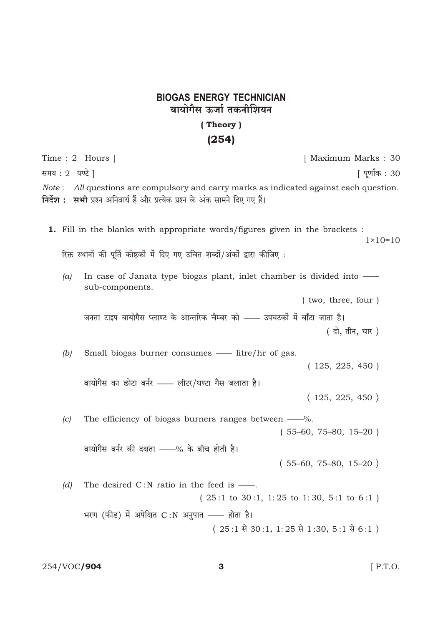## **BIOGAS ENERGY TECHNICIAN** बायोगैस ऊर्जा तकनीशियन

## (Theory)  $(254)$

Time: 2 Hours | [ Maximum Marks: 30 समय: 2 घण्टे | <u>[</u> पुर्णांक : 30 Note: All questions are compulsory and carry marks as indicated against each question. निर्देश : सभी प्रश्न अनिवार्य हैं और प्रत्येक प्रश्न के अंक सामने दिए गए हैं। 1. Fill in the blanks with appropriate words/figures given in the brackets :  $1 \times 10 = 10$ रिक्त स्थानों की पूर्ति कोष्ठकों में दिए गए उचित शब्दों/अंकों द्वारा कीजिए : In case of Janata type biogas plant, inlet chamber is divided into —  $(a)$ sub-components. (two, three, four) जनता टाइप बायोगैस प्लाण्ट के आन्तरिक चैम्बर को —— उपघटकों में बाँटा जाता है। (दो, तीन, चार)  $(b)$ Small biogas burner consumes - litre/hr of gas.  $(125, 225, 450)$ बायोगैस का छोटा बर्नर - लीटर/घण्टा गैस जलाता है।  $(125, 225, 450)$  $(c)$ The efficiency of biogas burners ranges between — %.  $(55-60, 75-80, 15-20)$ बायोगैस बर्नर की दक्षता - 8 के बीच होती है।  $(55-60, 75-80, 15-20)$  $(d)$ The desired  $C: N$  ratio in the feed is  $\frac{1}{10}$ .  $(25:1 \text{ to } 30:1, 1:25 \text{ to } 1:30, 5:1 \text{ to } 6:1)$ भरण (फीड) में अपेक्षित C:N अनुपात —— होता है।  $(25:1 \t{30:1, 1:25 \t{31:30, 5:1 \t{36:1}})$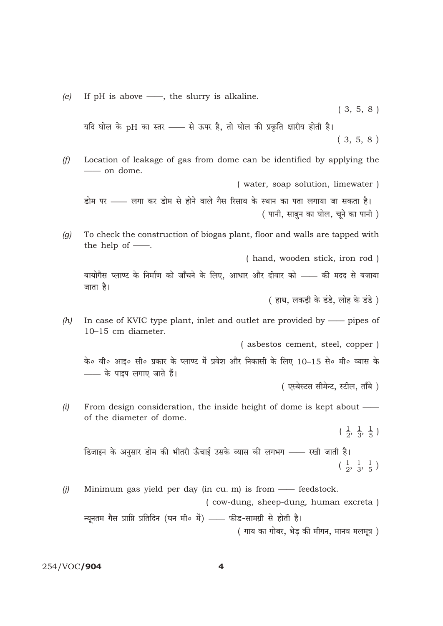If  $pH$  is above  $\longrightarrow$ , the slurry is alkaline.  $(e)$ 

 $(3, 5, 8)$ 

यदि घोल के pH का स्तर - से ऊपर है, तो घोल की प्रकृति क्षारीय होती है।  $(3, 5, 8)$ 

Location of leakage of gas from dome can be identified by applying the  $(f)$ -on dome.

( water, soap solution, limewater )

डोम पर - लगा कर डोम से होने वाले गैस रिसाव के स्थान का पता लगाया जा सकता है। (पानी, साबुन का घोल, चूने का पानी)

To check the construction of biogas plant, floor and walls are tapped with  $(a)$ the help of  $\frac{1}{\cdot}$ .

(hand, wooden stick, iron rod)

बायोगैस प्लाण्ट के निर्माण को जाँचने के लिए, आधार और दीवार को —— की मदद से बजाया जाता है।

( हाथ, लकड़ी के डंडे, लोह के डंडे)

 $(h)$ In case of KVIC type plant, inlet and outlet are provided by - pipes of 10-15 cm diameter.

(asbestos cement, steel, copper)

के० वी० आइ० सी० प्रकार के प्लाण्ट में प्रवेश और निकासी के लिए 10–15 से० मी० व्यास के - के पाइप लगाए जाते हैं।

(एस्बेस्टस सीमेन्ट, स्टील, ताँबे)

 $(i)$ From design consideration, the inside height of dome is kept about of the diameter of dome.

 $\left(\frac{1}{2}, \frac{1}{3}, \frac{1}{5}\right)$ 

डिजाइन के अनुसार डोम की भीतरी ऊँचाई उसके व्यास की लगभग —— रखी जाती है।  $\left(\frac{1}{2}, \frac{1}{3}, \frac{1}{5}\right)$ 

 $(j)$ Minimum gas yield per day (in cu. m) is from  $\frac{1}{\sqrt{1 - x^2}}$  feedstock. (cow-dung, sheep-dung, human excreta)

न्यनतम गैस प्राप्ति प्रतिदिन (घन मी० में) — फीड-सामग्री से होती है। ( गाय का गोबर, भेड़ की मीगन, मानव मलमूत्र )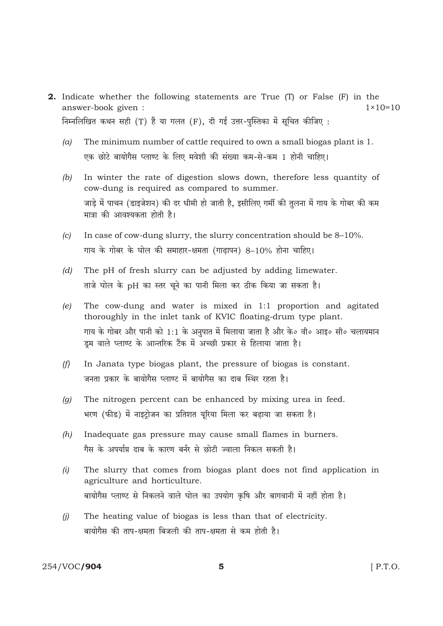- **2.** Indicate whether the following statements are True (T) or False (F) in the answer-book given :  $1 \times 10 = 10$ निम्नलिखित कथन सही (T) हैं या गलत (F), दी गई उत्तर-पुस्तिका में सूचित कीजिए:
	- $(a)$ The minimum number of cattle required to own a small biogas plant is 1. एक छोटे बायोगैस प्लाण्ट के लिए मवेशी की संख्या कम-से-कम 1 होनी चाहिए।
	- In winter the rate of digestion slows down, therefore less quantity of  $(b)$ cow-dung is required as compared to summer. जाड़े में पाचन (डाइजेशन) की दर धीमी हो जाती है, इसीलिए गर्मी की तुलना में गाय के गोबर की कम मात्रा की आवश्यकता होती है।
	- In case of cow-dung slurry, the slurry concentration should be 8-10%.  $|c|$ गाय के गोबर के घोल की समाहार-क्षमता (गाढापन) 8–10% होना चाहिए।
	- $(d)$ The pH of fresh slurry can be adjusted by adding limewater. ताजे घोल के pH का स्तर चूने का पानी मिला कर ठीक किया जा सकता है।
	- The cow-dung and water is mixed in 1:1 proportion and agitated  $(e)$ thoroughly in the inlet tank of KVIC floating-drum type plant. गाय के गोबर और पानी को 1:1 के अनुपात में मिलाया जाता है और के० वी० आइ० सी० चलायमान ड़म वाले प्लाण्ट के आन्तरिक टैंक में अच्छी प्रकार से हिलाया जाता है।
	- In Janata type biogas plant, the pressure of biogas is constant.  $(f)$ जनता प्रकार के बायोगैस प्लाण्ट में बायोगैस का दाब स्थिर रहता है।
	- The nitrogen percent can be enhanced by mixing urea in feed.  $(q)$ भरण (फीड) में नाइटोजन का प्रतिशत युरिया मिला कर बढाया जा सकता है।
	- Inadequate gas pressure may cause small flames in burners.  $(h)$ गैस के अपर्याप्त दाब के कारण बर्नर से छोटी ज्वाला निकल सकती है।
	- The slurry that comes from biogas plant does not find application in  $(i)$ agriculture and horticulture. बायोगैस प्लाण्ट से निकलने वाले घोल का उपयोग कृषि और बागवानी में नहीं होता है।
	- The heating value of biogas is less than that of electricity.  $(i)$ बायोगैस की ताप-क्षमता बिजली की ताप-क्षमता से कम होती है।